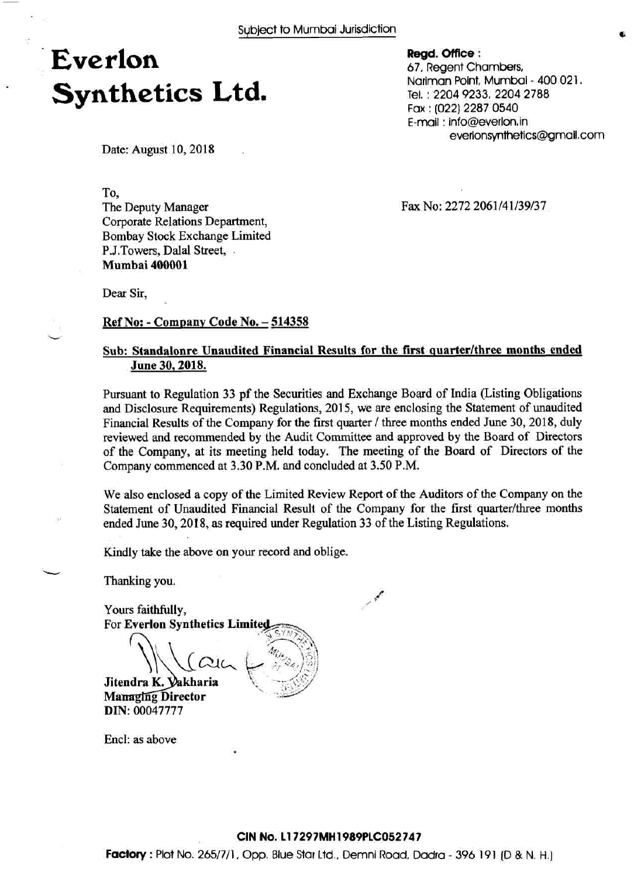### **Everlon Synthetics Ltd.**

Date: August 10, 2018

To,

The Deputy Manager Corporate Relations Department, Bombay Stock Exchange Limited P.J.Towers, Dalal Street, . **Mumbai 400001** 

Fax No: 2272 2061/41/39/37

**Regd. Office** :

67, Regent Chambers,

Fax : (022) 2287 0540 E-mail : info@everlon,in

Nariman Point, Mumbai - 400 021.

everlonsynthetics@gmail.com

Tel. : 2204 9233, 2204 2788

Dear Sir,

#### **Ref No: - Company Code No. – 514358**

### Sub: Standalonre Unaudited Financial Results for the first quarter/three months ended **June 30,2018.**

Pursuant to Regulation 33 pf the Securities and Exchange Board of India (Listing Obligations and Disclosure Requirements) Regulations, 2015, we are enclosing the Statement of unaudited Financial Results of the Company for the first quarter / three months ended June 30, 2018, duly reviewed and recommended by the Audit Committee and approved by the Board of Directors of the Company, at its meeting held today. The meeting of the Board of Directors of the Company commenced at 3.30 P.M. and concluded at 3.50 P.M.

We also enclosed a copy of the Limited Review Report of the Auditors of the Company on the Statement of Unaudited Financial Result of the Company for the first quarter/three months ended June 30,2018, as required under Regulation 33 of the Listing Regulations.

/ *4'* 

Kindly take the above on your record and oblige.

Thanking you.

**L** 

Yours faithfully, For **Everlon Synthetics**  Jitendra K. Vakharia **Managing Director DIN:** 00047777

Encl: as above

#### **CIN No. 11 7297MH 1989PLC052747**

**Factory** : Plot No. 2651711, Opp. Blue Star Ltd., Demni Road, Dadra - 396 191 (D & N. H.]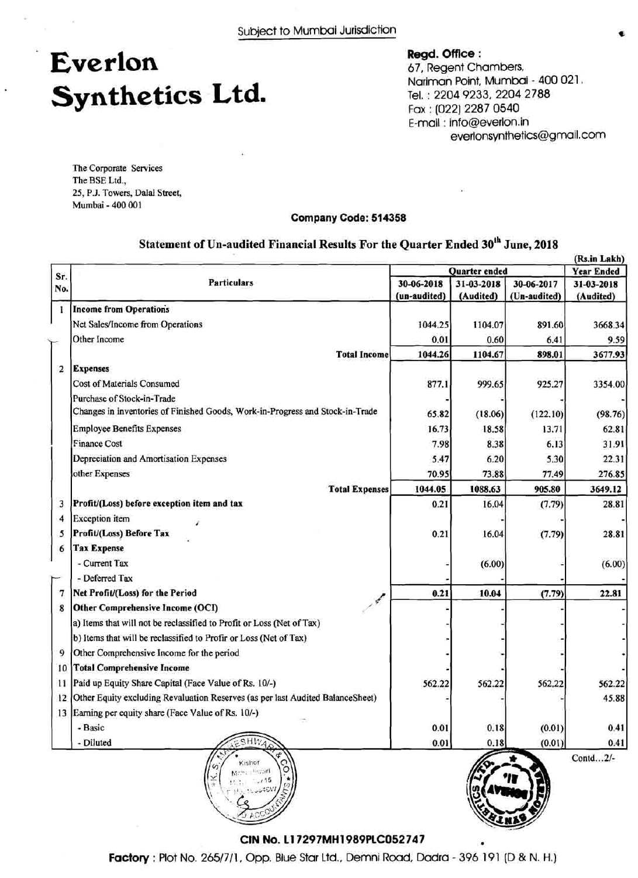## **Everlon Synthetics Ltd.**

**Regd. Offlce** : 67, Regent Chambers, Nariman Point, Mumbai - 400 021. Tel. : 2204 9233, 2204 2788 Fax : (022) 2287 0540 E-mail : info@everlon.in everlonsynthetics@gmail .com

The Corporate Services The BSE Ltd., 25, P.J. Towers, Dalal Street, Mumbai - 400 001

#### **Company Code: 514358**

#### **(Rs.in Lakh) Sr. No.**  1 2 **Particulars Income from Operations**  Net Sales/Income from Operations Other Income **Total Income Expenses**  $\begin{bmatrix} \mathbf{E} \\ \mathbf{F} \end{bmatrix}$ Cost of Materials Consumed Purchase of Stock-in-Trade Changes in inventories of Finished Goods, Work-in-Progress and Stock-in-Trade Employee Benefits Expenses **Year Ended**  31-03-2018 **(Audited)**  3668.34 9.59 3677.93 30-06-2018 **(un-audited)**  1044.25 0.01 1044.26 3 4 5 6 - 7 8 9 10 11 Paid up Equity Share Capital (Face Value of Rs. lo/-) **12**  13 Earning per equity share (Face Value of Rs. lo/-) 3354.00 (98.76) 62.8 1 31.91 22.3 1 276.85 3649.12 28.81 28.81 (6.00) 22.81 562.22 45.88 0.41 0.4 1 Contd...2/-877.1 65.82 16.73 7.98 5.47 70.95 1044.05 0.21 0.21 0.21 562.22 0.01 0.01 Finance Cost Depreciation and Amortisation Expenses other Expenses **Total Expenses Profit/(Loss) before exception item and tax**  Exception item **Profit/(Loss) Before Tax Tax Expense**  - Current Tax -Deferred Tax **Net Profit/(Loss) for the Period** <br>**Other Comprehensive Income (OCI)** a) Items that will not be reclassified to Profit or Loss (Net of Tax) b) Items that will be reclassified to Profir or Loss (Net of Tax) Other Comprehensive Income for the period **Total Comprehensive Income**  Other Equity excluding Revaluation Reserves (as per last Audited Balancesheet) - Basic - Diluted **Quarter ended**  31-03-2018 **(Audited)**  1104.07 0.60 1104.67 30-06-2017 **(Un-audited)**  891.60 6.41 898.01 999.65 (18.06) 18.58 8.38 6.20 73.88 1088.63 16.04 16.04 (6.00) 10.04 562.22 0.18 0.18 925.27 (122.10) 13.71 6.13 5.30 77.49 905.80 (7.79) (7.79) (7.79) 562.22 (0.01) (0.01)

#### **Statement of Un-audited Financial Results For the Quarter Ended 3oth June, 2018**



**CIN No. 11 7297MH1989PLC052 747** 

Kishor hardly year  $7.15$ 

**Factory** : Plot No. 2651711, Opp. Blue Star Ltd., Demni Road, Dadra - 396 191 (D & N. H.)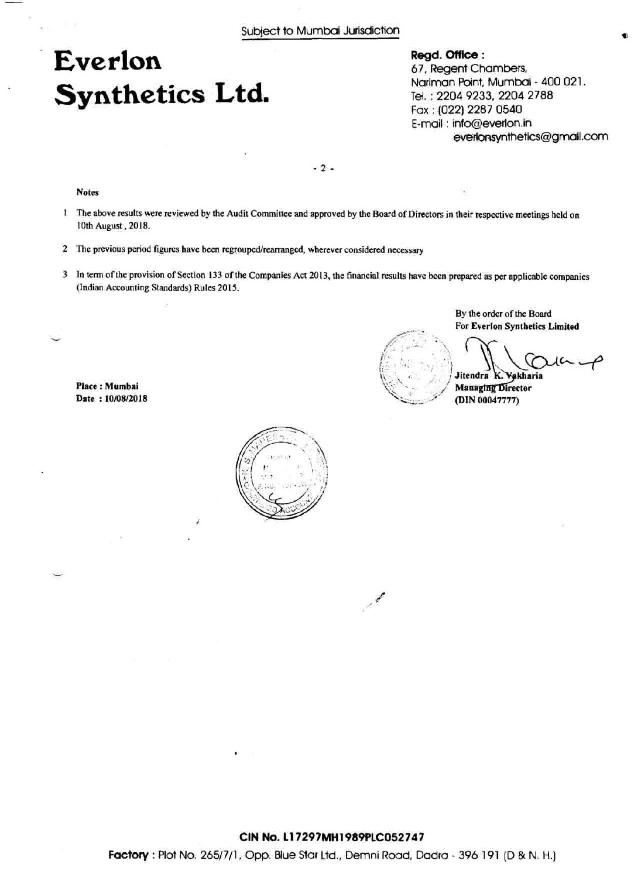### **Everlon Synthetics Ltd.**

**Regd. Office** : 67, Regent Chambers, Nariman Point, Mumbai - 400 02 1. Tel. : 2204 9233,2204 2788 Fax : (022) 2287 0540 E-mail : info@everlon.in evedonsynthetics@gmall .com

 $-2-$ 

**Notes** 

- 1 The above results were reviewed by the Audit Committee and approved by the Board of Directors in their respective meetings held on 10th August, 2018.
- 2 The previous period figures have been regrouped/rearranged, wherever considered necessary
- 3 In term of the provision of Section 133 of the Companies Act 2013, the financial results have been prepared as per applicable companies (Indian Accounting Standards) Rules 2015.

**Place** : **Mumbai Date** : **10/08/2018** 



By the order of the Board **For Everlon Synthetics Limited** 

Jitendra K. Vakharia

**Managing Director** (DIN 00047777)



**Factory** : Plot No. 265/7/1, Opp. Blue Star Ltd., Demni Road, Dadra - 396 191 (D & N. H.)